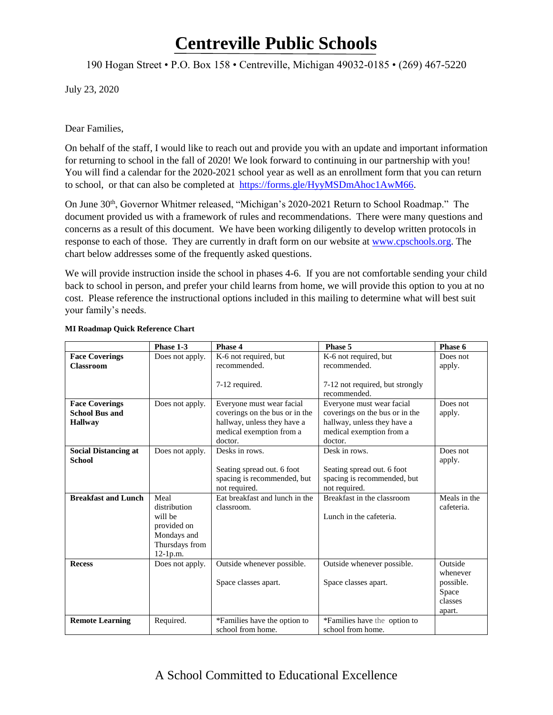190 Hogan Street • P.O. Box 158 • Centreville, Michigan 49032-0185 • (269) 467-5220

July 23, 2020

Dear Families,

On behalf of the staff, I would like to reach out and provide you with an update and important information for returning to school in the fall of 2020! We look forward to continuing in our partnership with you! You will find a calendar for the 2020-2021 school year as well as an enrollment form that you can return to school, or that can also be completed at [https://forms.gle/HyyMSDmAhoc1AwM66.](https://forms.gle/HyyMSDmAhoc1AwM66)

On June 30<sup>th</sup>, Governor Whitmer released, "Michigan's 2020-2021 Return to School Roadmap." The document provided us with a framework of rules and recommendations. There were many questions and concerns as a result of this document. We have been working diligently to develop written protocols in response to each of those. They are currently in draft form on our website at [www.cpschools.org.](about:blank) The chart below addresses some of the frequently asked questions.

We will provide instruction inside the school in phases 4-6. If you are not comfortable sending your child back to school in person, and prefer your child learns from home, we will provide this option to you at no cost. Please reference the instructional options included in this mailing to determine what will best suit your family's needs.

|                             | Phase 1-3       | Phase 4                        | Phase 5                         | Phase 6      |
|-----------------------------|-----------------|--------------------------------|---------------------------------|--------------|
| <b>Face Coverings</b>       | Does not apply. | K-6 not required, but          | K-6 not required, but           | Does not     |
| <b>Classroom</b>            |                 | recommended.                   | recommended.                    | apply.       |
|                             |                 | 7-12 required.                 | 7-12 not required, but strongly |              |
|                             |                 |                                | recommended.                    |              |
| <b>Face Coverings</b>       | Does not apply. | Everyone must wear facial      | Everyone must wear facial       | Does not     |
| <b>School Bus and</b>       |                 | coverings on the bus or in the | coverings on the bus or in the  | apply.       |
| <b>Hallway</b>              |                 | hallway, unless they have a    | hallway, unless they have a     |              |
|                             |                 | medical exemption from a       | medical exemption from a        |              |
|                             |                 | doctor.                        | doctor.                         |              |
| <b>Social Distancing at</b> | Does not apply. | Desks in rows.                 | Desk in rows.                   | Does not     |
| <b>School</b>               |                 |                                |                                 | apply.       |
|                             |                 | Seating spread out. 6 foot     | Seating spread out. 6 foot      |              |
|                             |                 | spacing is recommended, but    | spacing is recommended, but     |              |
|                             |                 | not required.                  | not required.                   |              |
| <b>Breakfast and Lunch</b>  | Meal            | Eat breakfast and lunch in the | Breakfast in the classroom      | Meals in the |
|                             | distribution    | classroom.                     |                                 | cafeteria.   |
|                             | will be         |                                | Lunch in the cafeteria.         |              |
|                             | provided on     |                                |                                 |              |
|                             | Mondays and     |                                |                                 |              |
|                             | Thursdays from  |                                |                                 |              |
|                             | 12-1p.m.        |                                |                                 |              |
| <b>Recess</b>               | Does not apply. | Outside whenever possible.     | Outside whenever possible.      | Outside      |
|                             |                 |                                |                                 | whenever     |
|                             |                 | Space classes apart.           | Space classes apart.            | possible.    |
|                             |                 |                                |                                 | Space        |
|                             |                 |                                |                                 | classes      |
|                             |                 |                                |                                 | apart.       |
| <b>Remote Learning</b>      | Required.       | *Families have the option to   | *Families have the option to    |              |
|                             |                 | school from home.              | school from home.               |              |

#### **MI Roadmap Quick Reference Chart**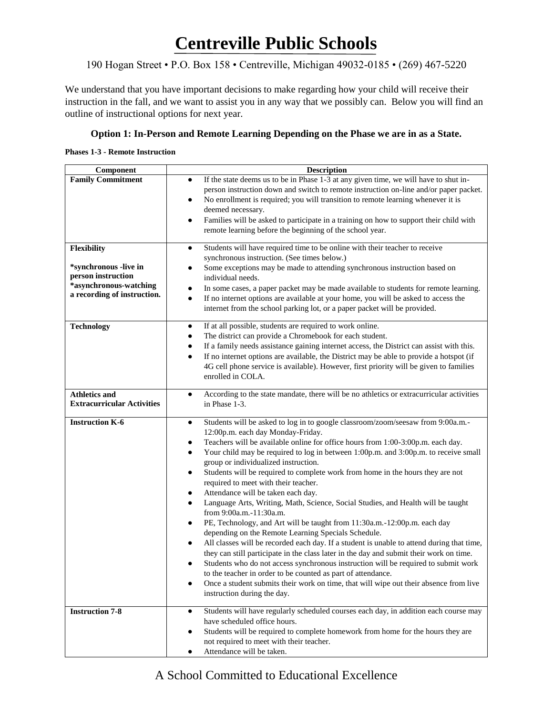### 190 Hogan Street • P.O. Box 158 • Centreville, Michigan 49032-0185 • (269) 467-5220

We understand that you have important decisions to make regarding how your child will receive their instruction in the fall, and we want to assist you in any way that we possibly can. Below you will find an outline of instructional options for next year.

#### **Option 1: In-Person and Remote Learning Depending on the Phase we are in as a State.**

#### **Phases 1-3 - Remote Instruction**

| <b>Description</b>                                                                                                                                                                                    |
|-------------------------------------------------------------------------------------------------------------------------------------------------------------------------------------------------------|
| If the state deems us to be in Phase 1-3 at any given time, we will have to shut in-<br>$\bullet$                                                                                                     |
| person instruction down and switch to remote instruction on-line and/or paper packet.<br>No enrollment is required; you will transition to remote learning whenever it is<br>٠                        |
| deemed necessary.                                                                                                                                                                                     |
| Families will be asked to participate in a training on how to support their child with<br>٠                                                                                                           |
| remote learning before the beginning of the school year.                                                                                                                                              |
| Students will have required time to be online with their teacher to receive<br>$\bullet$                                                                                                              |
| synchronous instruction. (See times below.)                                                                                                                                                           |
| Some exceptions may be made to attending synchronous instruction based on<br>٠<br>individual needs.                                                                                                   |
| In some cases, a paper packet may be made available to students for remote learning.<br>٠                                                                                                             |
| If no internet options are available at your home, you will be asked to access the<br>$\bullet$                                                                                                       |
| internet from the school parking lot, or a paper packet will be provided.                                                                                                                             |
| If at all possible, students are required to work online.<br>$\bullet$                                                                                                                                |
| The district can provide a Chromebook for each student.<br>٠                                                                                                                                          |
| If a family needs assistance gaining internet access, the District can assist with this.<br>$\bullet$<br>If no internet options are available, the District may be able to provide a hotspot (if<br>٠ |
| 4G cell phone service is available). However, first priority will be given to families                                                                                                                |
| enrolled in COLA.                                                                                                                                                                                     |
| According to the state mandate, there will be no athletics or extracurricular activities<br>$\bullet$                                                                                                 |
| in Phase 1-3.                                                                                                                                                                                         |
| Students will be asked to log in to google classroom/zoom/seesaw from 9:00a.m.-<br>$\bullet$                                                                                                          |
| 12:00p.m. each day Monday-Friday.                                                                                                                                                                     |
| Teachers will be available online for office hours from 1:00-3:00p.m. each day.<br>٠<br>Your child may be required to log in between 1:00p.m. and 3:00p.m. to receive small<br>٠                      |
| group or individualized instruction.                                                                                                                                                                  |
| Students will be required to complete work from home in the hours they are not<br>٠                                                                                                                   |
| required to meet with their teacher.                                                                                                                                                                  |
| Attendance will be taken each day.<br>٠<br>Language Arts, Writing, Math, Science, Social Studies, and Health will be taught<br>$\bullet$                                                              |
| from 9:00a.m.-11:30a.m.                                                                                                                                                                               |
| PE, Technology, and Art will be taught from 11:30a.m.-12:00p.m. each day<br>٠                                                                                                                         |
| depending on the Remote Learning Specials Schedule.                                                                                                                                                   |
| All classes will be recorded each day. If a student is unable to attend during that time,                                                                                                             |
| they can still participate in the class later in the day and submit their work on time.<br>Students who do not access synchronous instruction will be required to submit work                         |
| to the teacher in order to be counted as part of attendance.                                                                                                                                          |
| Once a student submits their work on time, that will wipe out their absence from live<br>$\bullet$                                                                                                    |
| instruction during the day.                                                                                                                                                                           |
| Students will have regularly scheduled courses each day, in addition each course may<br>٠                                                                                                             |
| have scheduled office hours.                                                                                                                                                                          |
| Students will be required to complete homework from home for the hours they are<br>not required to meet with their teacher.                                                                           |
| Attendance will be taken.                                                                                                                                                                             |
|                                                                                                                                                                                                       |

### A School Committed to Educational Excellence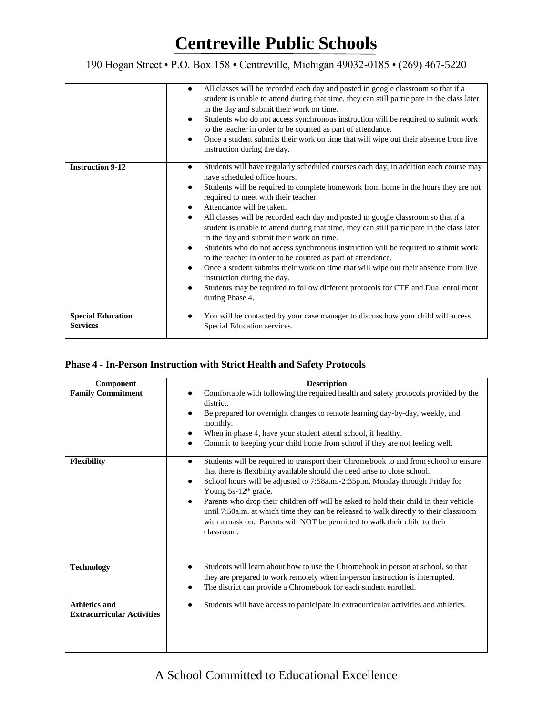### 190 Hogan Street • P.O. Box 158 • Centreville, Michigan 49032-0185 • (269) 467-5220

|                                             | All classes will be recorded each day and posted in google classroom so that if a<br>٠<br>student is unable to attend during that time, they can still participate in the class later<br>in the day and submit their work on time.<br>Students who do not access synchronous instruction will be required to submit work<br>٠<br>to the teacher in order to be counted as part of attendance.<br>Once a student submits their work on time that will wipe out their absence from live<br>instruction during the day.                                                                                                                                                                                                                                                                                                                                                                                                                                      |
|---------------------------------------------|-----------------------------------------------------------------------------------------------------------------------------------------------------------------------------------------------------------------------------------------------------------------------------------------------------------------------------------------------------------------------------------------------------------------------------------------------------------------------------------------------------------------------------------------------------------------------------------------------------------------------------------------------------------------------------------------------------------------------------------------------------------------------------------------------------------------------------------------------------------------------------------------------------------------------------------------------------------|
| <b>Instruction 9-12</b>                     | Students will have regularly scheduled courses each day, in addition each course may<br>$\bullet$<br>have scheduled office hours.<br>Students will be required to complete homework from home in the hours they are not<br>٠<br>required to meet with their teacher.<br>Attendance will be taken.<br>٠<br>All classes will be recorded each day and posted in google classroom so that if a<br>$\bullet$<br>student is unable to attend during that time, they can still participate in the class later<br>in the day and submit their work on time.<br>Students who do not access synchronous instruction will be required to submit work<br>٠<br>to the teacher in order to be counted as part of attendance.<br>Once a student submits their work on time that will wipe out their absence from live<br>٠<br>instruction during the day.<br>Students may be required to follow different protocols for CTE and Dual enrollment<br>٠<br>during Phase 4. |
| <b>Special Education</b><br><b>Services</b> | You will be contacted by your case manager to discuss how your child will access<br>Special Education services.                                                                                                                                                                                                                                                                                                                                                                                                                                                                                                                                                                                                                                                                                                                                                                                                                                           |

### **Phase 4 - In-Person Instruction with Strict Health and Safety Protocols**

| Component                                                 | <b>Description</b>                                                                                                                                                                                                                                                                                                                                                                                                                                                                                                                                                                              |
|-----------------------------------------------------------|-------------------------------------------------------------------------------------------------------------------------------------------------------------------------------------------------------------------------------------------------------------------------------------------------------------------------------------------------------------------------------------------------------------------------------------------------------------------------------------------------------------------------------------------------------------------------------------------------|
| <b>Family Commitment</b>                                  | Comfortable with following the required health and safety protocols provided by the<br>$\bullet$<br>district.<br>Be prepared for overnight changes to remote learning day-by-day, weekly, and<br>monthly.<br>When in phase 4, have your student attend school, if healthy.<br>$\bullet$<br>Commit to keeping your child home from school if they are not feeling well.                                                                                                                                                                                                                          |
| <b>Flexibility</b>                                        | Students will be required to transport their Chromebook to and from school to ensure<br>$\bullet$<br>that there is flexibility available should the need arise to close school.<br>School hours will be adjusted to 7:58a.m.-2:35p.m. Monday through Friday for<br>$\bullet$<br>Young 5s-12 <sup>th</sup> grade.<br>Parents who drop their children off will be asked to hold their child in their vehicle<br>until 7:50a.m. at which time they can be released to walk directly to their classroom<br>with a mask on. Parents will NOT be permitted to walk their child to their<br>classroom. |
| <b>Technology</b>                                         | Students will learn about how to use the Chromebook in person at school, so that<br>$\bullet$<br>they are prepared to work remotely when in-person instruction is interrupted.<br>The district can provide a Chromebook for each student enrolled.                                                                                                                                                                                                                                                                                                                                              |
| <b>Athletics and</b><br><b>Extracurricular Activities</b> | Students will have access to participate in extracurricular activities and athletics.<br>$\bullet$                                                                                                                                                                                                                                                                                                                                                                                                                                                                                              |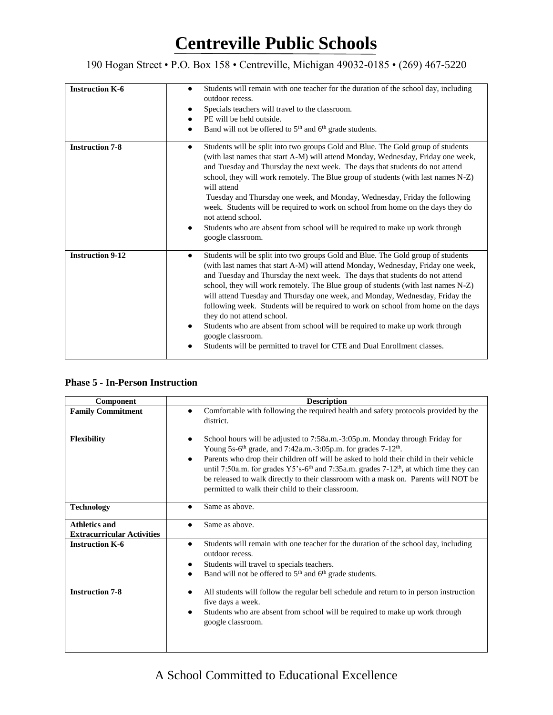### 190 Hogan Street • P.O. Box 158 • Centreville, Michigan 49032-0185 • (269) 467-5220

| <b>Instruction K-6</b>  | Students will remain with one teacher for the duration of the school day, including<br>$\bullet$                                                                                                                                                                                                                                                                                                                                                                                                                                                                                                                                                                    |
|-------------------------|---------------------------------------------------------------------------------------------------------------------------------------------------------------------------------------------------------------------------------------------------------------------------------------------------------------------------------------------------------------------------------------------------------------------------------------------------------------------------------------------------------------------------------------------------------------------------------------------------------------------------------------------------------------------|
|                         | outdoor recess.                                                                                                                                                                                                                                                                                                                                                                                                                                                                                                                                                                                                                                                     |
|                         |                                                                                                                                                                                                                                                                                                                                                                                                                                                                                                                                                                                                                                                                     |
|                         | Specials teachers will travel to the classroom.<br>٠                                                                                                                                                                                                                                                                                                                                                                                                                                                                                                                                                                                                                |
|                         | PE will be held outside.<br>$\bullet$                                                                                                                                                                                                                                                                                                                                                                                                                                                                                                                                                                                                                               |
|                         | Band will not be offered to 5 <sup>th</sup> and 6 <sup>th</sup> grade students.<br>$\bullet$                                                                                                                                                                                                                                                                                                                                                                                                                                                                                                                                                                        |
| <b>Instruction 7-8</b>  | Students will be split into two groups Gold and Blue. The Gold group of students<br>٠<br>(with last names that start A-M) will attend Monday, Wednesday, Friday one week,<br>and Tuesday and Thursday the next week. The days that students do not attend<br>school, they will work remotely. The Blue group of students (with last names N-Z)<br>will attend<br>Tuesday and Thursday one week, and Monday, Wednesday, Friday the following<br>week. Students will be required to work on school from home on the days they do<br>not attend school.                                                                                                                |
|                         | Students who are absent from school will be required to make up work through<br>٠<br>google classroom.                                                                                                                                                                                                                                                                                                                                                                                                                                                                                                                                                              |
| <b>Instruction 9-12</b> | Students will be split into two groups Gold and Blue. The Gold group of students<br>$\bullet$<br>(with last names that start A-M) will attend Monday, Wednesday, Friday one week,<br>and Tuesday and Thursday the next week. The days that students do not attend<br>school, they will work remotely. The Blue group of students (with last names N-Z)<br>will attend Tuesday and Thursday one week, and Monday, Wednesday, Friday the<br>following week. Students will be required to work on school from home on the days<br>they do not attend school.<br>Students who are absent from school will be required to make up work through<br>٠<br>google classroom. |
|                         | Students will be permitted to travel for CTE and Dual Enrollment classes.                                                                                                                                                                                                                                                                                                                                                                                                                                                                                                                                                                                           |

#### **Phase 5 - In-Person Instruction**

| Component                                                 | <b>Description</b>                                                                                                                                                                                                                                                                                                                                                                                                                                                                                                                                      |
|-----------------------------------------------------------|---------------------------------------------------------------------------------------------------------------------------------------------------------------------------------------------------------------------------------------------------------------------------------------------------------------------------------------------------------------------------------------------------------------------------------------------------------------------------------------------------------------------------------------------------------|
| <b>Family Commitment</b>                                  | Comfortable with following the required health and safety protocols provided by the<br>district.                                                                                                                                                                                                                                                                                                                                                                                                                                                        |
| Flexibility                                               | School hours will be adjusted to 7:58a.m.-3:05p.m. Monday through Friday for<br>$\bullet$<br>Young 5s-6 <sup>th</sup> grade, and 7:42a.m.-3:05p.m. for grades 7-12 <sup>th</sup> .<br>Parents who drop their children off will be asked to hold their child in their vehicle<br>$\bullet$<br>until 7:50a.m. for grades Y5's-6 <sup>th</sup> and 7:35a.m. grades 7-12 <sup>th</sup> , at which time they can<br>be released to walk directly to their classroom with a mask on. Parents will NOT be<br>permitted to walk their child to their classroom. |
| <b>Technology</b>                                         | Same as above.                                                                                                                                                                                                                                                                                                                                                                                                                                                                                                                                          |
| <b>Athletics and</b><br><b>Extracurricular Activities</b> | Same as above.                                                                                                                                                                                                                                                                                                                                                                                                                                                                                                                                          |
| <b>Instruction K-6</b>                                    | Students will remain with one teacher for the duration of the school day, including<br>$\bullet$<br>outdoor recess.<br>Students will travel to specials teachers.<br>Band will not be offered to 5 <sup>th</sup> and 6 <sup>th</sup> grade students.                                                                                                                                                                                                                                                                                                    |
| <b>Instruction 7-8</b>                                    | All students will follow the regular bell schedule and return to in person instruction<br>$\bullet$<br>five days a week.<br>Students who are absent from school will be required to make up work through<br>google classroom.                                                                                                                                                                                                                                                                                                                           |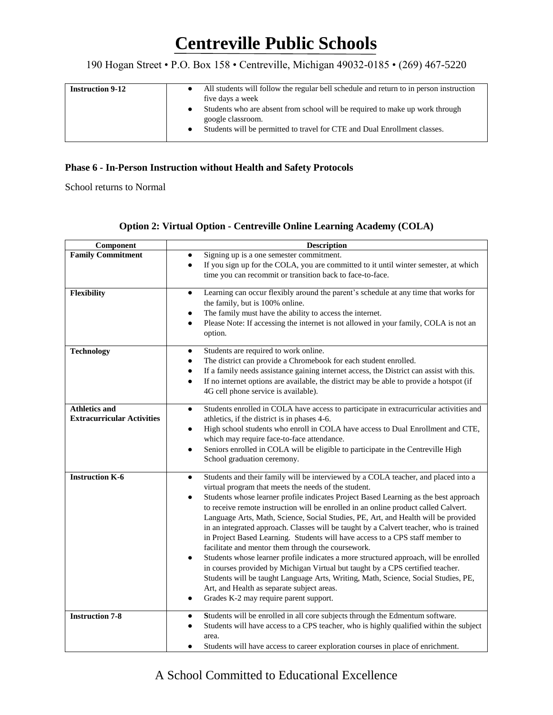190 Hogan Street • P.O. Box 158 • Centreville, Michigan 49032-0185 • (269) 467-5220

| <b>Instruction 9-12</b> | All students will follow the regular bell schedule and return to in person instruction<br>five days a week<br>Students who are absent from school will be required to make up work through<br>google classroom.<br>Students will be permitted to travel for CTE and Dual Enrollment classes. |
|-------------------------|----------------------------------------------------------------------------------------------------------------------------------------------------------------------------------------------------------------------------------------------------------------------------------------------|
|-------------------------|----------------------------------------------------------------------------------------------------------------------------------------------------------------------------------------------------------------------------------------------------------------------------------------------|

#### **Phase 6 - In-Person Instruction without Health and Safety Protocols**

School returns to Normal

|  | <b>Option 2: Virtual Option - Centreville Online Learning Academy (COLA)</b> |  |
|--|------------------------------------------------------------------------------|--|
|  |                                                                              |  |

| Component                                                 | <b>Description</b>                                                                                                                                                                                                                                                                                                                                                                                                                                                                                                                                                                                                                                                                                                                                                                                                                                                                                                                                                                                                                                    |
|-----------------------------------------------------------|-------------------------------------------------------------------------------------------------------------------------------------------------------------------------------------------------------------------------------------------------------------------------------------------------------------------------------------------------------------------------------------------------------------------------------------------------------------------------------------------------------------------------------------------------------------------------------------------------------------------------------------------------------------------------------------------------------------------------------------------------------------------------------------------------------------------------------------------------------------------------------------------------------------------------------------------------------------------------------------------------------------------------------------------------------|
| <b>Family Commitment</b>                                  | Signing up is a one semester commitment.<br>$\bullet$                                                                                                                                                                                                                                                                                                                                                                                                                                                                                                                                                                                                                                                                                                                                                                                                                                                                                                                                                                                                 |
|                                                           | If you sign up for the COLA, you are committed to it until winter semester, at which<br>$\bullet$<br>time you can recommit or transition back to face-to-face.                                                                                                                                                                                                                                                                                                                                                                                                                                                                                                                                                                                                                                                                                                                                                                                                                                                                                        |
| <b>Flexibility</b>                                        | Learning can occur flexibly around the parent's schedule at any time that works for<br>٠<br>the family, but is 100% online.<br>The family must have the ability to access the internet.<br>٠<br>Please Note: If accessing the internet is not allowed in your family, COLA is not an<br>٠<br>option.                                                                                                                                                                                                                                                                                                                                                                                                                                                                                                                                                                                                                                                                                                                                                  |
| <b>Technology</b>                                         | Students are required to work online.<br>٠<br>The district can provide a Chromebook for each student enrolled.<br>٠<br>If a family needs assistance gaining internet access, the District can assist with this.<br>$\bullet$<br>If no internet options are available, the district may be able to provide a hotspot (if<br>$\bullet$<br>4G cell phone service is available).                                                                                                                                                                                                                                                                                                                                                                                                                                                                                                                                                                                                                                                                          |
| <b>Athletics and</b><br><b>Extracurricular Activities</b> | Students enrolled in COLA have access to participate in extracurricular activities and<br>$\bullet$                                                                                                                                                                                                                                                                                                                                                                                                                                                                                                                                                                                                                                                                                                                                                                                                                                                                                                                                                   |
|                                                           | athletics, if the district is in phases 4-6.<br>High school students who enroll in COLA have access to Dual Enrollment and CTE,<br>$\bullet$<br>which may require face-to-face attendance.<br>Seniors enrolled in COLA will be eligible to participate in the Centreville High<br>School graduation ceremony.                                                                                                                                                                                                                                                                                                                                                                                                                                                                                                                                                                                                                                                                                                                                         |
| <b>Instruction K-6</b>                                    | Students and their family will be interviewed by a COLA teacher, and placed into a<br>$\bullet$<br>virtual program that meets the needs of the student.<br>Students whose learner profile indicates Project Based Learning as the best approach<br>٠<br>to receive remote instruction will be enrolled in an online product called Calvert.<br>Language Arts, Math, Science, Social Studies, PE, Art, and Health will be provided<br>in an integrated approach. Classes will be taught by a Calvert teacher, who is trained<br>in Project Based Learning. Students will have access to a CPS staff member to<br>facilitate and mentor them through the coursework.<br>Students whose learner profile indicates a more structured approach, will be enrolled<br>$\bullet$<br>in courses provided by Michigan Virtual but taught by a CPS certified teacher.<br>Students will be taught Language Arts, Writing, Math, Science, Social Studies, PE,<br>Art, and Health as separate subject areas.<br>Grades K-2 may require parent support.<br>$\bullet$ |
| <b>Instruction 7-8</b>                                    | Students will be enrolled in all core subjects through the Edmentum software.<br>٠<br>Students will have access to a CPS teacher, who is highly qualified within the subject<br>area.<br>Students will have access to career exploration courses in place of enrichment.<br>$\bullet$                                                                                                                                                                                                                                                                                                                                                                                                                                                                                                                                                                                                                                                                                                                                                                 |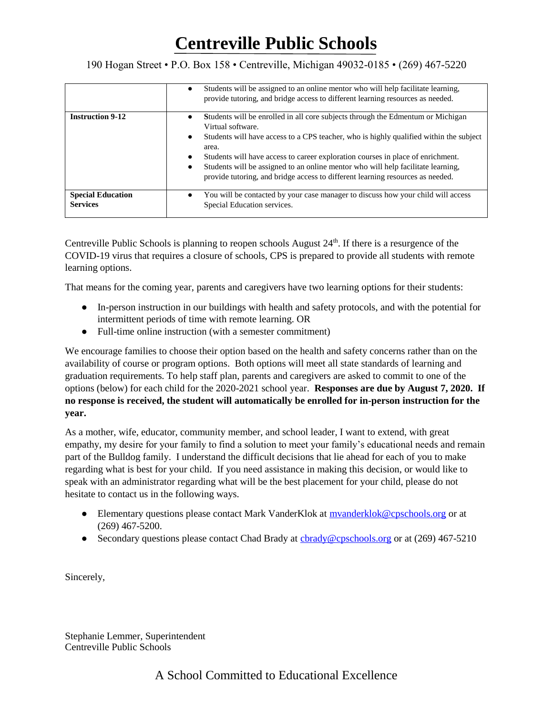190 Hogan Street • P.O. Box 158 • Centreville, Michigan 49032-0185 • (269) 467-5220

|                                             | Students will be assigned to an online mentor who will help facilitate learning,<br>$\bullet$<br>provide tutoring, and bridge access to different learning resources as needed.                                                                                                                                                                                                                                                                                                                 |
|---------------------------------------------|-------------------------------------------------------------------------------------------------------------------------------------------------------------------------------------------------------------------------------------------------------------------------------------------------------------------------------------------------------------------------------------------------------------------------------------------------------------------------------------------------|
| <b>Instruction 9-12</b>                     | Students will be enrolled in all core subjects through the Edmentum or Michigan<br>٠<br>Virtual software.<br>Students will have access to a CPS teacher, who is highly qualified within the subject<br>$\bullet$<br>area.<br>Students will have access to career exploration courses in place of enrichment.<br>$\bullet$<br>Students will be assigned to an online mentor who will help facilitate learning,<br>provide tutoring, and bridge access to different learning resources as needed. |
| <b>Special Education</b><br><b>Services</b> | You will be contacted by your case manager to discuss how your child will access<br>Special Education services.                                                                                                                                                                                                                                                                                                                                                                                 |

Centreville Public Schools is planning to reopen schools August  $24<sup>th</sup>$ . If there is a resurgence of the COVID-19 virus that requires a closure of schools, CPS is prepared to provide all students with remote learning options.

That means for the coming year, parents and caregivers have two learning options for their students:

- In-person instruction in our buildings with health and safety protocols, and with the potential for intermittent periods of time with remote learning. OR
- Full-time online instruction (with a semester commitment)

We encourage families to choose their option based on the health and safety concerns rather than on the availability of course or program options. Both options will meet all state standards of learning and graduation requirements. To help staff plan, parents and caregivers are asked to commit to one of the options (below) for each child for the 2020-2021 school year. **Responses are due by August 7, 2020. If no response is received, the student will automatically be enrolled for in-person instruction for the year.**

As a mother, wife, educator, community member, and school leader, I want to extend, with great empathy, my desire for your family to find a solution to meet your family's educational needs and remain part of the Bulldog family. I understand the difficult decisions that lie ahead for each of you to make regarding what is best for your child. If you need assistance in making this decision, or would like to speak with an administrator regarding what will be the best placement for your child, please do not hesitate to contact us in the following ways.

- Elementary questions please contact Mark VanderKlok at myanderklok@cpschools.org or at (269) 467-5200.
- Secondary questions please contact Chad Brady at charact Question Contract (269) 467-5210

Sincerely,

Stephanie Lemmer, Superintendent Centreville Public Schools